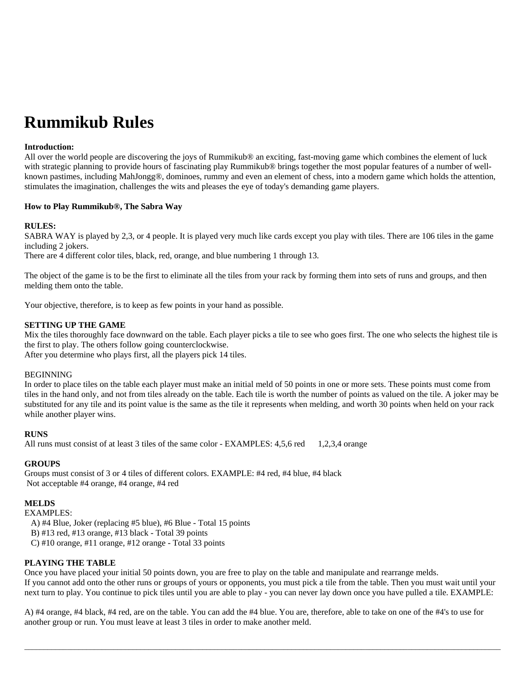# **Rummikub Rules**

## **Introduction:**

All over the world people are discovering the joys of Rummikub® an exciting, fast-moving game which combines the element of luck with strategic planning to provide hours of fascinating play Rummikub® brings together the most popular features of a number of wellknown pastimes, including MahJongg®, dominoes, rummy and even an element of chess, into a modern game which holds the attention, stimulates the imagination, challenges the wits and pleases the eye of today's demanding game players.

## **How to Play Rummikub®, The Sabra Way**

#### **RULES:**

SABRA WAY is played by 2,3, or 4 people. It is played very much like cards except you play with tiles. There are 106 tiles in the game including 2 jokers.

There are 4 different color tiles, black, red, orange, and blue numbering 1 through 13.

The object of the game is to be the first to eliminate all the tiles from your rack by forming them into sets of runs and groups, and then melding them onto the table.

Your objective, therefore, is to keep as few points in your hand as possible.

## **SETTING UP THE GAME**

Mix the tiles thoroughly face downward on the table. Each player picks a tile to see who goes first. The one who selects the highest tile is the first to play. The others follow going counterclockwise.

After you determine who plays first, all the players pick 14 tiles.

# BEGINNING

In order to place tiles on the table each player must make an initial meld of 50 points in one or more sets. These points must come from tiles in the hand only, and not from tiles already on the table. Each tile is worth the number of points as valued on the tile. A joker may be substituted for any tile and its point value is the same as the tile it represents when melding, and worth 30 points when held on your rack while another player wins.

#### **RUNS**

All runs must consist of at least 3 tiles of the same color - EXAMPLES: 4,5,6 red 1,2,3,4 orange

#### **GROUPS**

Groups must consist of 3 or 4 tiles of different colors. EXAMPLE: #4 red, #4 blue, #4 black Not acceptable #4 orange, #4 orange, #4 red

#### **MELDS**

EXAMPLES:

A) #4 Blue, Joker (replacing #5 blue), #6 Blue - Total 15 points

B) #13 red, #13 orange, #13 black - Total 39 points

C) #10 orange, #11 orange, #12 orange - Total 33 points

# **PLAYING THE TABLE**

Once you have placed your initial 50 points down, you are free to play on the table and manipulate and rearrange melds. If you cannot add onto the other runs or groups of yours or opponents, you must pick a tile from the table. Then you must wait until your next turn to play. You continue to pick tiles until you are able to play - you can never lay down once you have pulled a tile. EXAMPLE:

A) #4 orange, #4 black, #4 red, are on the table. You can add the #4 blue. You are, therefore, able to take on one of the #4's to use for another group or run. You must leave at least 3 tiles in order to make another meld.

 $\bot$  , and the set of the set of the set of the set of the set of the set of the set of the set of the set of the set of the set of the set of the set of the set of the set of the set of the set of the set of the set of t